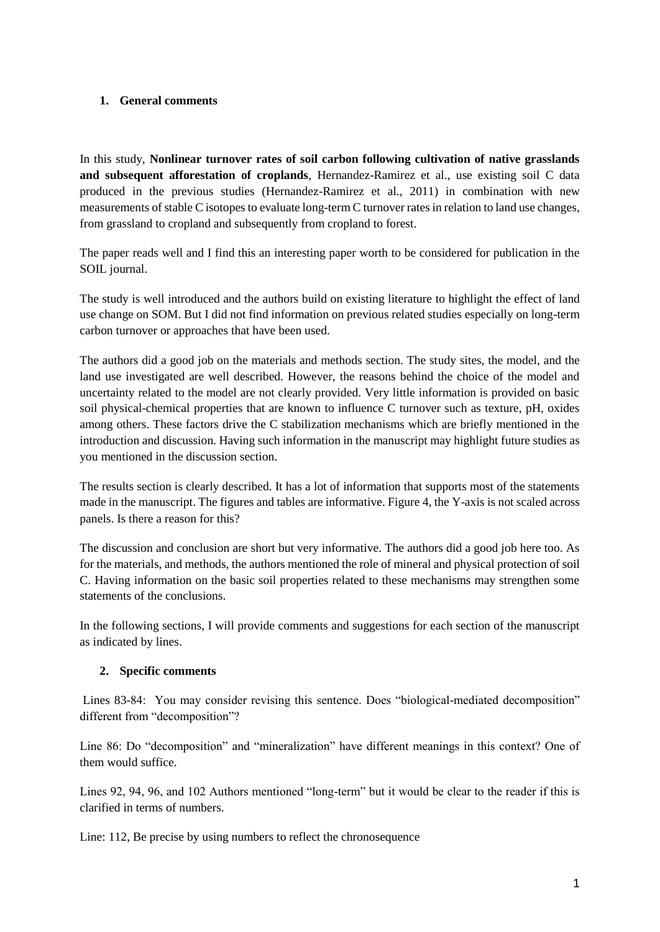## **1. General comments**

In this study, **Nonlinear turnover rates of soil carbon following cultivation of native grasslands and subsequent afforestation of croplands**, Hernandez-Ramirez et al., use existing soil C data produced in the previous studies (Hernandez-Ramirez et al., 2011) in combination with new measurements of stable C isotopes to evaluate long-term C turnover rates in relation to land use changes, from grassland to cropland and subsequently from cropland to forest.

The paper reads well and I find this an interesting paper worth to be considered for publication in the SOIL journal.

The study is well introduced and the authors build on existing literature to highlight the effect of land use change on SOM. But I did not find information on previous related studies especially on long-term carbon turnover or approaches that have been used.

The authors did a good job on the materials and methods section. The study sites, the model, and the land use investigated are well described. However, the reasons behind the choice of the model and uncertainty related to the model are not clearly provided. Very little information is provided on basic soil physical-chemical properties that are known to influence C turnover such as texture, pH, oxides among others. These factors drive the C stabilization mechanisms which are briefly mentioned in the introduction and discussion. Having such information in the manuscript may highlight future studies as you mentioned in the discussion section.

The results section is clearly described. It has a lot of information that supports most of the statements made in the manuscript. The figures and tables are informative. Figure 4, the Y-axis is not scaled across panels. Is there a reason for this?

The discussion and conclusion are short but very informative. The authors did a good job here too. As for the materials, and methods, the authors mentioned the role of mineral and physical protection of soil C. Having information on the basic soil properties related to these mechanisms may strengthen some statements of the conclusions.

In the following sections, I will provide comments and suggestions for each section of the manuscript as indicated by lines.

## **2. Specific comments**

Lines 83-84: You may consider revising this sentence. Does "biological-mediated decomposition" different from "decomposition"?

Line 86: Do "decomposition" and "mineralization" have different meanings in this context? One of them would suffice.

Lines 92, 94, 96, and 102 Authors mentioned "long-term" but it would be clear to the reader if this is clarified in terms of numbers.

Line: 112, Be precise by using numbers to reflect the chronosequence